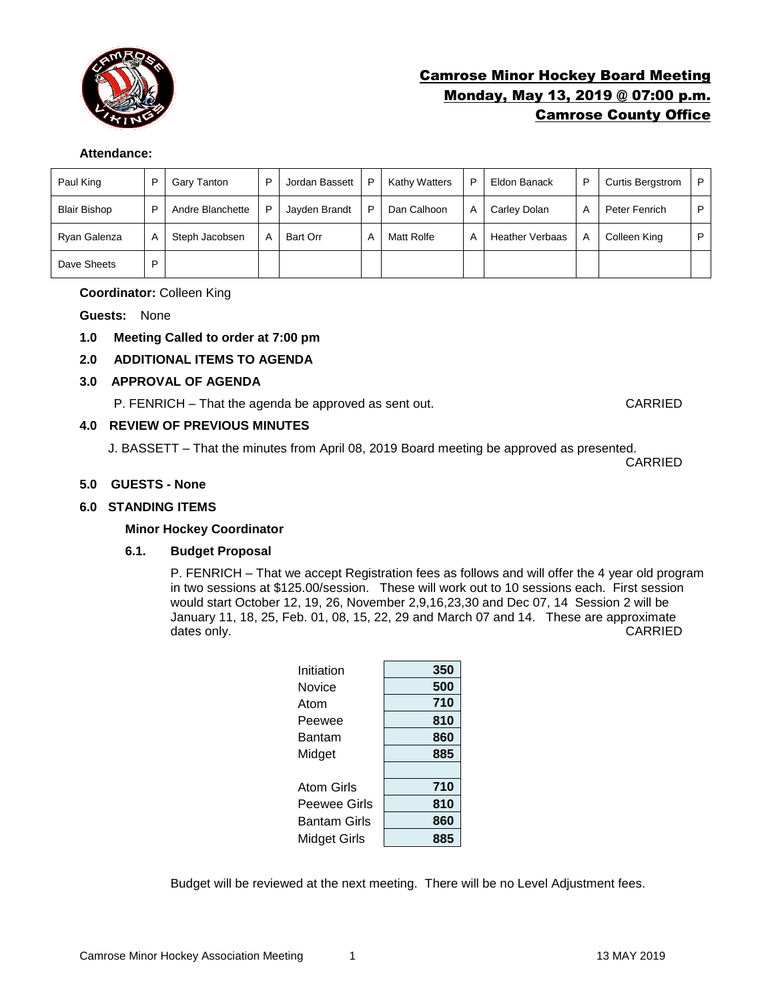

# Camrose Minor Hockey Board Meeting Monday, May 13, 2019 @ 07:00 p.m. Camrose County Office

# **Attendance:**

| Paul King           | D | Gary Tanton      | D | Jordan Bassett | P | <b>Kathy Watters</b> | D | Eldon Banack           | P | <b>Curtis Bergstrom</b> | P |
|---------------------|---|------------------|---|----------------|---|----------------------|---|------------------------|---|-------------------------|---|
| <b>Blair Bishop</b> | D | Andre Blanchette | D | Jayden Brandt  | P | Dan Calhoon          | A | Carley Dolan           | А | Peter Fenrich           | P |
| Ryan Galenza        | A | Steph Jacobsen   |   | Bart Orr       | A | Matt Rolfe           | A | <b>Heather Verbaas</b> | A | Colleen King            | P |
| Dave Sheets         | D |                  |   |                |   |                      |   |                        |   |                         |   |

# **Coordinator:** Colleen King

**Guests:** None

- **1.0 Meeting Called to order at 7:00 pm**
- **2.0 ADDITIONAL ITEMS TO AGENDA**

# **3.0 APPROVAL OF AGENDA**

P. FENRICH – That the agenda be approved as sent out. CARRIED

# **4.0 REVIEW OF PREVIOUS MINUTES**

J. BASSETT – That the minutes from April 08, 2019 Board meeting be approved as presented.

CARRIED

# **5.0 GUESTS - None**

# **6.0 STANDING ITEMS**

# **Minor Hockey Coordinator**

# **6.1. Budget Proposal**

P. FENRICH – That we accept Registration fees as follows and will offer the 4 year old program in two sessions at \$125.00/session. These will work out to 10 sessions each. First session would start October 12, 19, 26, November 2,9,16,23,30 and Dec 07, 14 Session 2 will be January 11, 18, 25, Feb. 01, 08, 15, 22, 29 and March 07 and 14. These are approximate dates only. CARRIED

| Initiation   | 350 |
|--------------|-----|
| Novice       | 500 |
| Atom         | 710 |
| Peewee       | 810 |
| Bantam       | 860 |
| Midget       | 885 |
|              |     |
| Atom Girls   | 710 |
| Peewee Girls | 810 |
| Bantam Girls | 860 |
| Midget Girls | 885 |
|              |     |

Budget will be reviewed at the next meeting. There will be no Level Adjustment fees.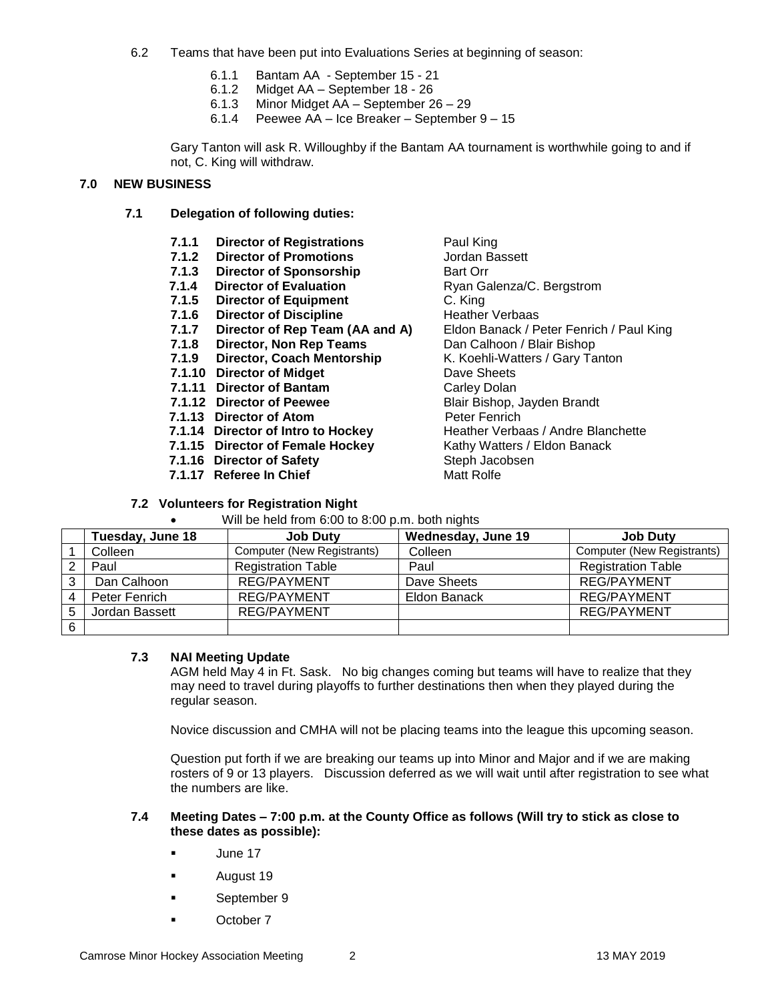- 6.2 Teams that have been put into Evaluations Series at beginning of season:
	- 6.1.1 Bantam AA September 15 21
	- 6.1.2 Midget AA September 18 26
	- 6.1.3 Minor Midget AA September 26 29
	- 6.1.4 Peewee AA Ice Breaker September 9 15

Gary Tanton will ask R. Willoughby if the Bantam AA tournament is worthwhile going to and if not, C. King will withdraw.

# **7.0 NEW BUSINESS**

**7.1 Delegation of following duties:**

| 7.1.1 | <b>Director of Registrations</b>   | Paul King                                |
|-------|------------------------------------|------------------------------------------|
|       | 7.1.2 Director of Promotions       | Jordan Bassett                           |
| 7.1.3 | <b>Director of Sponsorship</b>     | <b>Bart Orr</b>                          |
| 7.1.4 | <b>Director of Evaluation</b>      | Ryan Galenza/C. Bergstrom                |
|       | 7.1.5 Director of Equipment        | C. King                                  |
|       | 7.1.6 Director of Discipline       | <b>Heather Verbaas</b>                   |
| 7.1.7 | Director of Rep Team (AA and A)    | Eldon Banack / Peter Fenrich / Paul King |
|       | 7.1.8 Director, Non Rep Teams      | Dan Calhoon / Blair Bishop               |
|       | 7.1.9 Director, Coach Mentorship   | K. Koehli-Watters / Gary Tanton          |
|       | 7.1.10 Director of Midget          | Dave Sheets                              |
|       | 7.1.11 Director of Bantam          | Carley Dolan                             |
|       | 7.1.12 Director of Peewee          | Blair Bishop, Jayden Brandt              |
|       | 7.1.13 Director of Atom            | Peter Fenrich                            |
|       | 7.1.14 Director of Intro to Hockey | Heather Verbaas / Andre Blanchette       |
|       | 7.1.15 Director of Female Hockey   | Kathy Watters / Eldon Banack             |
|       | 7.1.16 Director of Safety          | Steph Jacobsen                           |
|       | 7.1.17 Referee In Chief            | <b>Matt Rolfe</b>                        |
|       |                                    |                                          |

# **7.2 Volunteers for Registration Night**

Will be held from 6:00 to 8:00 p.m. both nights

|        | Tuesday, June 18 | <b>Job Duty</b>            | Wednesday, June 19 | <b>Job Duty</b>            |
|--------|------------------|----------------------------|--------------------|----------------------------|
|        | Colleen          | Computer (New Registrants) | Colleen            | Computer (New Registrants) |
| ◠      | Paul             | <b>Registration Table</b>  | Paul               | <b>Registration Table</b>  |
| っ<br>د | Dan Calhoon      | REG/PAYMENT                | Dave Sheets        | <b>REG/PAYMENT</b>         |
|        | Peter Fenrich    | REG/PAYMENT                | Eldon Banack       | <b>REG/PAYMENT</b>         |
| 5      | Jordan Bassett   | <b>REG/PAYMENT</b>         |                    | <b>REG/PAYMENT</b>         |
| 6      |                  |                            |                    |                            |

# **7.3 NAI Meeting Update**

AGM held May 4 in Ft. Sask. No big changes coming but teams will have to realize that they may need to travel during playoffs to further destinations then when they played during the regular season.

Novice discussion and CMHA will not be placing teams into the league this upcoming season.

Question put forth if we are breaking our teams up into Minor and Major and if we are making rosters of 9 or 13 players. Discussion deferred as we will wait until after registration to see what the numbers are like.

# **7.4 Meeting Dates – 7:00 p.m. at the County Office as follows (Will try to stick as close to these dates as possible):**

- **June 17**
- **August 19**
- September 9
- October 7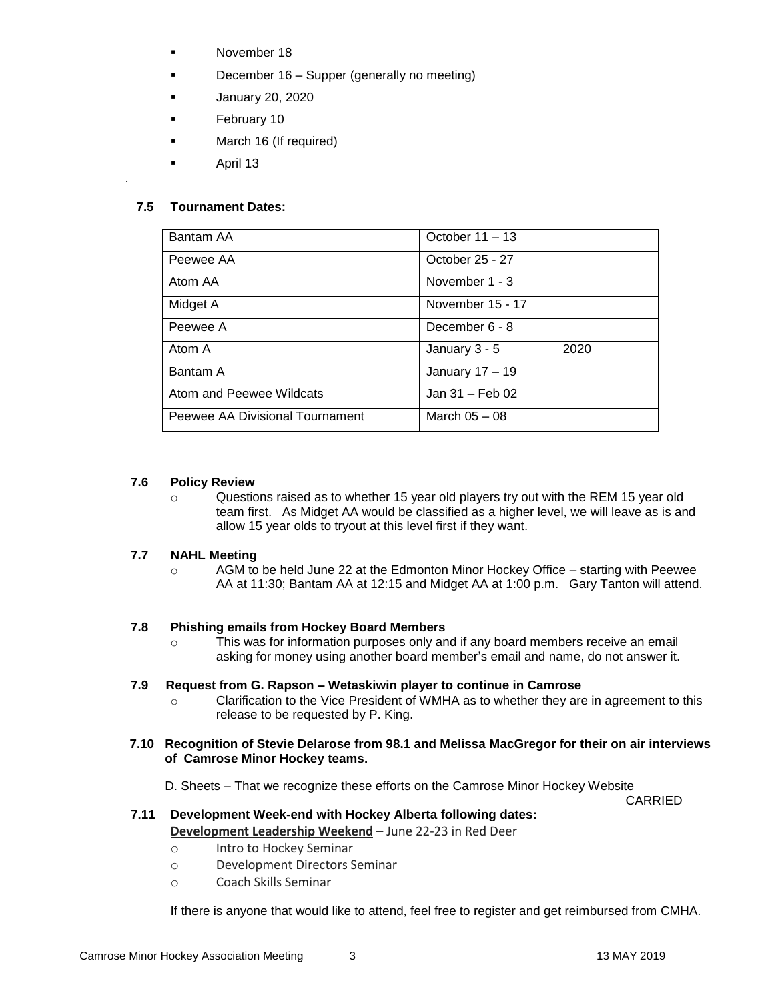- November 18
- December 16 Supper (generally no meeting)
- January 20, 2020
- February 10
- March 16 (If required)
- April 13

# **7.5 Tournament Dates:**

o .

| Bantam AA                       | October $11 - 13$     |
|---------------------------------|-----------------------|
| Peewee AA                       | October 25 - 27       |
| Atom AA                         | November 1 - 3        |
| Midget A                        | November 15 - 17      |
| Peewee A                        | December 6 - 8        |
| Atom A                          | January 3 - 5<br>2020 |
| Bantam A                        | January 17 - 19       |
| Atom and Peewee Wildcats        | Jan 31 - Feb 02       |
| Peewee AA Divisional Tournament | March $05 - 08$       |

#### **7.6 Policy Review**

 $\circ$  Questions raised as to whether 15 year old players try out with the REM 15 year old team first. As Midget AA would be classified as a higher level, we will leave as is and allow 15 year olds to tryout at this level first if they want.

# **7.7 NAHL Meeting**

 $\circ$  AGM to be held June 22 at the Edmonton Minor Hockey Office – starting with Peewee AA at 11:30; Bantam AA at 12:15 and Midget AA at 1:00 p.m. Gary Tanton will attend.

#### **7.8 Phishing emails from Hockey Board Members**

o This was for information purposes only and if any board members receive an email asking for money using another board member's email and name, do not answer it.

#### **7.9 Request from G. Rapson – Wetaskiwin player to continue in Camrose**

o Clarification to the Vice President of WMHA as to whether they are in agreement to this release to be requested by P. King.

### **7.10 Recognition of Stevie Delarose from 98.1 and Melissa MacGregor for their on air interviews of Camrose Minor Hockey teams.**

D. Sheets – That we recognize these efforts on the Camrose Minor Hockey Website

CARRIED

### **7.11 Development Week-end with Hockey Alberta following dates: Development Leadership Weekend** – June 22-23 in Red Deer

- o Intro to Hockey Seminar
- o Development Directors Seminar
- o Coach Skills Seminar

If there is anyone that would like to attend, feel free to register and get reimbursed from CMHA.